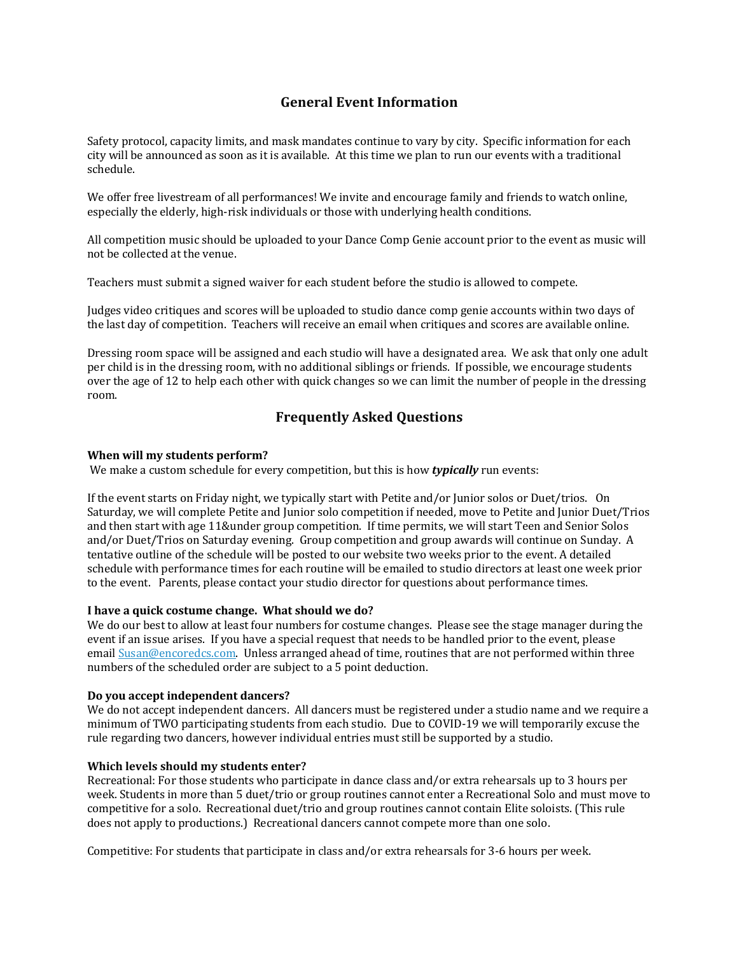# **General Event Information**

Safety protocol, capacity limits, and mask mandates continue to vary by city. Specific information for each city will be announced as soon as it is available. At this time we plan to run our events with a traditional schedule.

We offer free livestream of all performances! We invite and encourage family and friends to watch online, especially the elderly, high-risk individuals or those with underlying health conditions.

All competition music should be uploaded to your Dance Comp Genie account prior to the event as music will not be collected at the venue.

Teachers must submit a signed waiver for each student before the studio is allowed to compete.

Judges video critiques and scores will be uploaded to studio dance comp genie accounts within two days of the last day of competition. Teachers will receive an email when critiques and scores are available online.

Dressing room space will be assigned and each studio will have a designated area. We ask that only one adult per child is in the dressing room, with no additional siblings or friends. If possible, we encourage students over the age of 12 to help each other with quick changes so we can limit the number of people in the dressing room.

## **Frequently Asked Questions**

#### **When will my students perform?**

We make a custom schedule for every competition, but this is how *typically* run events:

If the event starts on Friday night, we typically start with Petite and/or Junior solos or Duet/trios. On Saturday, we will complete Petite and Junior solo competition if needed, move to Petite and Junior Duet/Trios and then start with age 11&under group competition. If time permits, we will start Teen and Senior Solos and/or Duet/Trios on Saturday evening. Group competition and group awards will continue on Sunday. A tentative outline of the schedule will be posted to our website two weeks prior to the event. A detailed schedule with performance times for each routine will be emailed to studio directors at least one week prior to the event. Parents, please contact your studio director for questions about performance times.

#### **I have a quick costume change. What should we do?**

We do our best to allow at least four numbers for costume changes. Please see the stage manager during the event if an issue arises. If you have a special request that needs to be handled prior to the event, please email Susan@encoredcs.com. Unless arranged ahead of time, routines that are not performed within three numbers of the scheduled order are subject to a 5 point deduction.

#### **Do you accept independent dancers?**

We do not accept independent dancers. All dancers must be registered under a studio name and we require a minimum of TWO participating students from each studio. Due to COVID-19 we will temporarily excuse the rule regarding two dancers, however individual entries must still be supported by a studio.

#### **Which levels should my students enter?**

Recreational: For those students who participate in dance class and/or extra rehearsals up to 3 hours per week. Students in more than 5 duet/trio or group routines cannot enter a Recreational Solo and must move to competitive for a solo. Recreational duet/trio and group routines cannot contain Elite soloists. (This rule does not apply to productions.) Recreational dancers cannot compete more than one solo.

Competitive: For students that participate in class and/or extra rehearsals for 3-6 hours per week.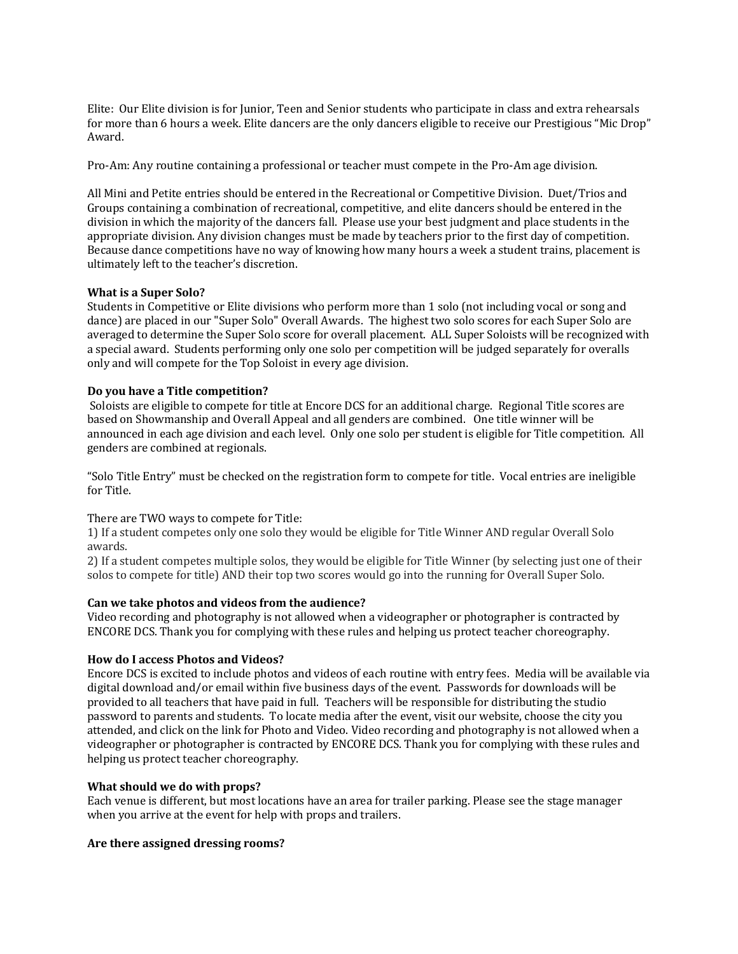Elite: Our Elite division is for Junior, Teen and Senior students who participate in class and extra rehearsals for more than 6 hours a week. Elite dancers are the only dancers eligible to receive our Prestigious "Mic Drop" Award. 

Pro-Am: Any routine containing a professional or teacher must compete in the Pro-Am age division.

All Mini and Petite entries should be entered in the Recreational or Competitive Division. Duet/Trios and Groups containing a combination of recreational, competitive, and elite dancers should be entered in the division in which the majority of the dancers fall. Please use your best judgment and place students in the appropriate division. Any division changes must be made by teachers prior to the first day of competition. Because dance competitions have no way of knowing how many hours a week a student trains, placement is ultimately left to the teacher's discretion.

## **What is a Super Solo?**

Students in Competitive or Elite divisions who perform more than 1 solo (not including vocal or song and dance) are placed in our "Super Solo" Overall Awards. The highest two solo scores for each Super Solo are averaged to determine the Super Solo score for overall placement. ALL Super Soloists will be recognized with a special award. Students performing only one solo per competition will be judged separately for overalls only and will compete for the Top Soloist in every age division.

## **Do you have a Title competition?**

Soloists are eligible to compete for title at Encore DCS for an additional charge. Regional Title scores are based on Showmanship and Overall Appeal and all genders are combined. One title winner will be announced in each age division and each level. Only one solo per student is eligible for Title competition. All genders are combined at regionals.

"Solo Title Entry" must be checked on the registration form to compete for title. Vocal entries are ineligible for Title.

## There are TWO ways to compete for Title:

1) If a student competes only one solo they would be eligible for Title Winner AND regular Overall Solo awards.

2) If a student competes multiple solos, they would be eligible for Title Winner (by selecting just one of their solos to compete for title) AND their top two scores would go into the running for Overall Super Solo.

## **Can we take photos and videos from the audience?**

Video recording and photography is not allowed when a videographer or photographer is contracted by ENCORE DCS. Thank you for complying with these rules and helping us protect teacher choreography.

## **How do I access Photos and Videos?**

Encore DCS is excited to include photos and videos of each routine with entry fees. Media will be available via digital download and/or email within five business days of the event. Passwords for downloads will be provided to all teachers that have paid in full. Teachers will be responsible for distributing the studio password to parents and students. To locate media after the event, visit our website, choose the city you attended, and click on the link for Photo and Video. Video recording and photography is not allowed when a videographer or photographer is contracted by ENCORE DCS. Thank you for complying with these rules and helping us protect teacher choreography.

## **What should we do with props?**

Each venue is different, but most locations have an area for trailer parking. Please see the stage manager when you arrive at the event for help with props and trailers.

## **Are there assigned dressing rooms?**